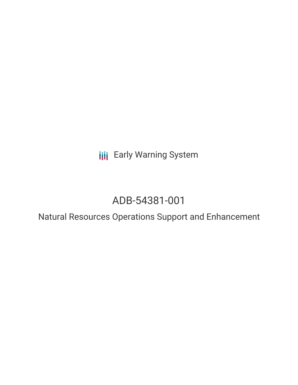**III** Early Warning System

# ADB-54381-001

Natural Resources Operations Support and Enhancement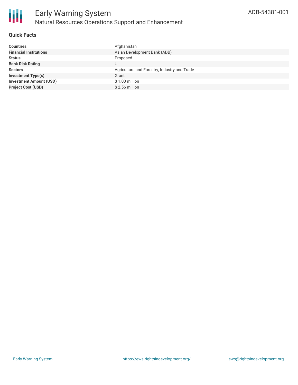

#### **Quick Facts**

| <b>Countries</b>               | Afghanistan                                  |
|--------------------------------|----------------------------------------------|
| <b>Financial Institutions</b>  | Asian Development Bank (ADB)                 |
| <b>Status</b>                  | Proposed                                     |
| <b>Bank Risk Rating</b>        | U                                            |
| <b>Sectors</b>                 | Agriculture and Forestry, Industry and Trade |
| <b>Investment Type(s)</b>      | Grant                                        |
| <b>Investment Amount (USD)</b> | \$1.00 million                               |
| <b>Project Cost (USD)</b>      | $$2.56$ million                              |
|                                |                                              |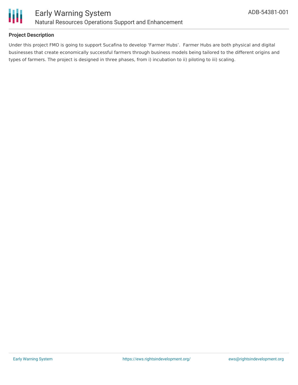

#### **Project Description**

Under this project FMO is going to support Sucafina to develop 'Farmer Hubs'. Farmer Hubs are both physical and digital businesses that create economically successful farmers through business models being tailored to the different origins and types of farmers. The project is designed in three phases, from i) incubation to ii) piloting to iii) scaling.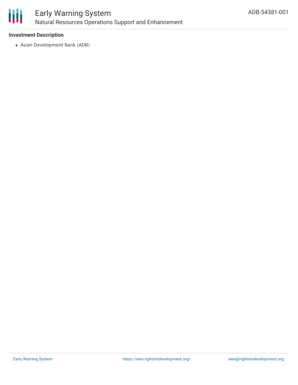

#### **Investment Description**

Asian Development Bank (ADB)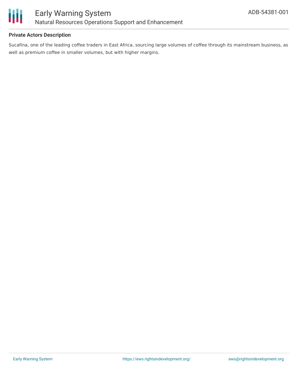

#### **Private Actors Description**

Sucafina, one of the leading coffee traders in East Africa, sourcing large volumes of coffee through its mainstream business, as well as premium coffee in smaller volumes, but with higher margins.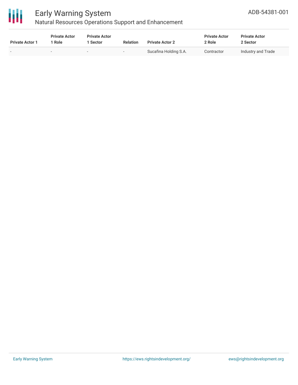

## Early Warning System

Natural Resources Operations Support and Enhancement

| <b>Private Actor 1</b> | <b>Private Actor</b><br>1 Role | <b>Private Actor</b><br>1 Sector | <b>Relation</b> | <b>Private Actor 2</b> | <b>Private Actor</b><br>2 Role | <b>Private Actor</b><br>2 Sector |  |
|------------------------|--------------------------------|----------------------------------|-----------------|------------------------|--------------------------------|----------------------------------|--|
|                        | $\overline{\phantom{a}}$       | $\sim$                           |                 | Sucafina Holding S.A.  | Contractor                     | Industry and Trade               |  |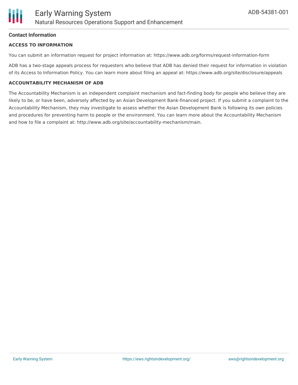#### **Contact Information**

#### **ACCESS TO INFORMATION**

You can submit an information request for project information at: https://www.adb.org/forms/request-information-form

ADB has a two-stage appeals process for requesters who believe that ADB has denied their request for information in violation of its Access to Information Policy. You can learn more about filing an appeal at: https://www.adb.org/site/disclosure/appeals

#### **ACCOUNTABILITY MECHANISM OF ADB**

The Accountability Mechanism is an independent complaint mechanism and fact-finding body for people who believe they are likely to be, or have been, adversely affected by an Asian Development Bank-financed project. If you submit a complaint to the Accountability Mechanism, they may investigate to assess whether the Asian Development Bank is following its own policies and procedures for preventing harm to people or the environment. You can learn more about the Accountability Mechanism and how to file a complaint at: http://www.adb.org/site/accountability-mechanism/main.